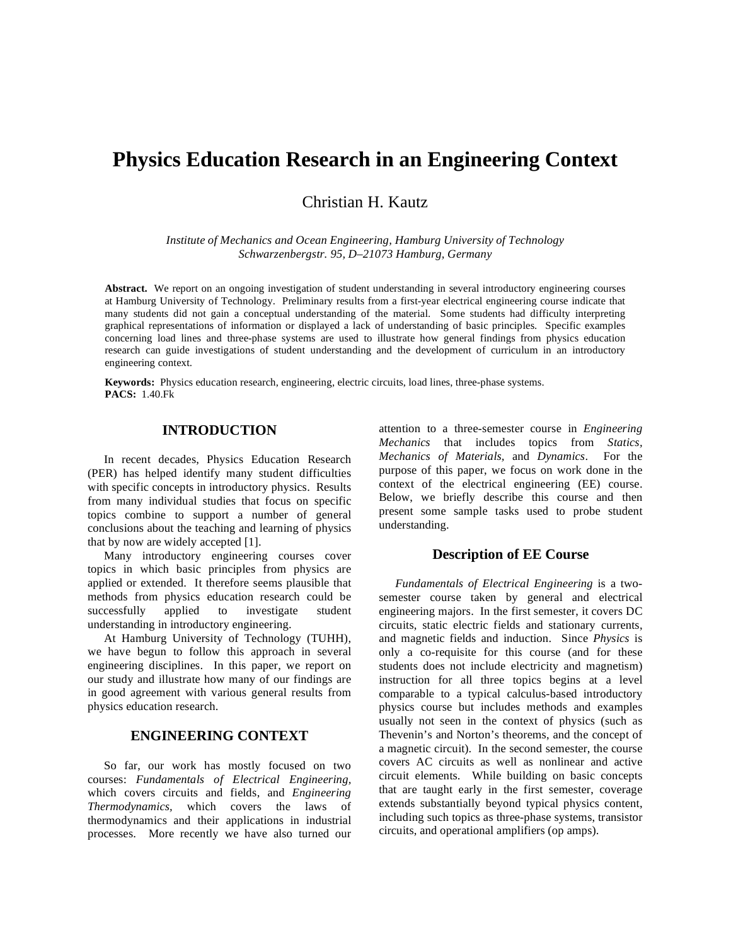# **Physics Education Research in an Engineering Context**

Christian H. Kautz

*Institute of Mechanics and Ocean Engineering, Hamburg University of Technology Schwarzenbergstr. 95, D–21073 Hamburg, Germany* 

**Abstract.** We report on an ongoing investigation of student understanding in several introductory engineering courses at Hamburg University of Technology. Preliminary results from a first-year electrical engineering course indicate that many students did not gain a conceptual understanding of the material. Some students had difficulty interpreting graphical representations of information or displayed a lack of understanding of basic principles. Specific examples concerning load lines and three-phase systems are used to illustrate how general findings from physics education research can guide investigations of student understanding and the development of curriculum in an introductory engineering context.

**Keywords:** Physics education research, engineering, electric circuits, load lines, three-phase systems. **PACS:** 1.40.Fk

# **INTRODUCTION**

In recent decades, Physics Education Research (PER) has helped identify many student difficulties with specific concepts in introductory physics. Results from many individual studies that focus on specific topics combine to support a number of general conclusions about the teaching and learning of physics that by now are widely accepted [1].

Many introductory engineering courses cover topics in which basic principles from physics are applied or extended. It therefore seems plausible that methods from physics education research could be successfully applied to investigate student understanding in introductory engineering.

At Hamburg University of Technology (TUHH), we have begun to follow this approach in several engineering disciplines. In this paper, we report on our study and illustrate how many of our findings are in good agreement with various general results from physics education research.

# **ENGINEERING CONTEXT**

So far, our work has mostly focused on two courses: *Fundamentals of Electrical Engineering,* which covers circuits and fields, and *Engineering Thermodynamics,* which covers the laws of thermodynamics and their applications in industrial processes. More recently we have also turned our

attention to a three-semester course in *Engineering Mechanics* that includes topics from *Statics, Mechanics of Materials,* and *Dynamics*. For the purpose of this paper, we focus on work done in the context of the electrical engineering (EE) course. Below, we briefly describe this course and then present some sample tasks used to probe student understanding.

## **Description of EE Course**

*Fundamentals of Electrical Engineering* is a twosemester course taken by general and electrical engineering majors. In the first semester, it covers DC circuits, static electric fields and stationary currents, and magnetic fields and induction. Since *Physics* is only a co-requisite for this course (and for these students does not include electricity and magnetism) instruction for all three topics begins at a level comparable to a typical calculus-based introductory physics course but includes methods and examples usually not seen in the context of physics (such as Thevenin's and Norton's theorems, and the concept of a magnetic circuit). In the second semester, the course covers AC circuits as well as nonlinear and active circuit elements. While building on basic concepts that are taught early in the first semester, coverage extends substantially beyond typical physics content, including such topics as three-phase systems, transistor circuits, and operational amplifiers (op amps).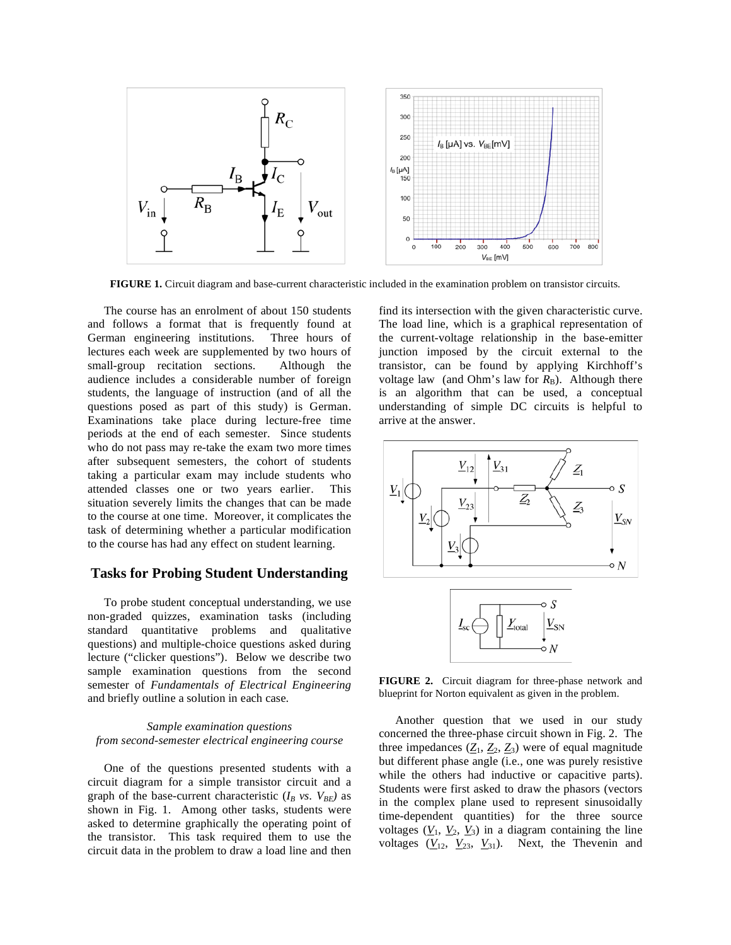

**FIGURE 1.** Circuit diagram and base-current characteristic included in the examination problem on transistor circuits.

The course has an enrolment of about 150 students and follows a format that is frequently found at German engineering institutions. Three hours of lectures each week are supplemented by two hours of small-group recitation sections. Although the audience includes a considerable number of foreign students, the language of instruction (and of all the questions posed as part of this study) is German. Examinations take place during lecture-free time periods at the end of each semester. Since students who do not pass may re-take the exam two more times after subsequent semesters, the cohort of students taking a particular exam may include students who attended classes one or two years earlier. This situation severely limits the changes that can be made to the course at one time. Moreover, it complicates the task of determining whether a particular modification to the course has had any effect on student learning.

## **Tasks for Probing Student Understanding**

To probe student conceptual understanding, we use non-graded quizzes, examination tasks (including standard quantitative problems and qualitative questions) and multiple-choice questions asked during lecture ("clicker questions"). Below we describe two sample examination questions from the second semester of *Fundamentals of Electrical Engineering* and briefly outline a solution in each case.

## *Sample examination questions from second-semester electrical engineering course*

One of the questions presented students with a circuit diagram for a simple transistor circuit and a graph of the base-current characteristic  $(I_B \text{ vs. } V_{BE})$  as shown in Fig. 1. Among other tasks, students were asked to determine graphically the operating point of the transistor. This task required them to use the circuit data in the problem to draw a load line and then

find its intersection with the given characteristic curve. The load line, which is a graphical representation of the current-voltage relationship in the base-emitter junction imposed by the circuit external to the transistor, can be found by applying Kirchhoff's voltage law (and Ohm's law for  $R_B$ ). Although there is an algorithm that can be used, a conceptual understanding of simple DC circuits is helpful to arrive at the answer.



**FIGURE 2.** Circuit diagram for three-phase network and blueprint for Norton equivalent as given in the problem.

Another question that we used in our study concerned the three-phase circuit shown in Fig. 2. The three impedances  $(\underline{Z}_1, \underline{Z}_2, \underline{Z}_3)$  were of equal magnitude but different phase angle (i.e., one was purely resistive while the others had inductive or capacitive parts). Students were first asked to draw the phasors (vectors in the complex plane used to represent sinusoidally time-dependent quantities) for the three source voltages  $(V_1, V_2, V_3)$  in a diagram containing the line voltages  $(\underline{V}_{12}, \underline{V}_{23}, \underline{V}_{31})$ . Next, the Thevenin and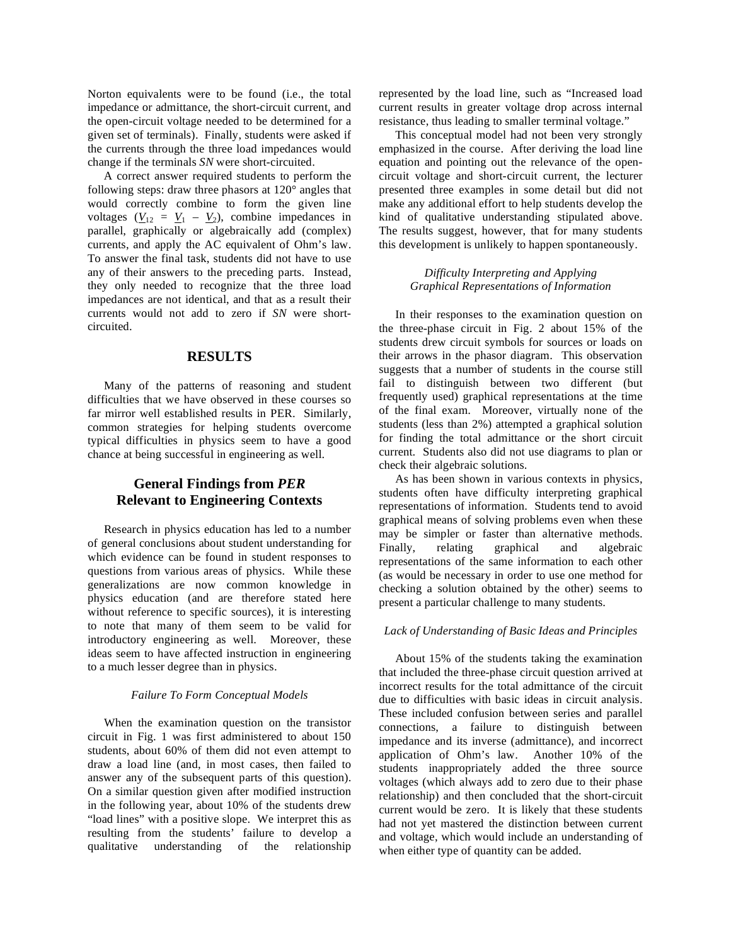Norton equivalents were to be found (i.e., the total impedance or admittance, the short-circuit current, and the open-circuit voltage needed to be determined for a given set of terminals). Finally, students were asked if the currents through the three load impedances would change if the terminals *SN* were short-circuited.

A correct answer required students to perform the following steps: draw three phasors at 120° angles that would correctly combine to form the given line voltages  $(\underline{V}_{12} = \underline{V}_1 - \underline{V}_2)$ , combine impedances in parallel, graphically or algebraically add (complex) currents, and apply the AC equivalent of Ohm's law. To answer the final task, students did not have to use any of their answers to the preceding parts. Instead, they only needed to recognize that the three load impedances are not identical, and that as a result their currents would not add to zero if *SN* were shortcircuited.

## **RESULTS**

Many of the patterns of reasoning and student difficulties that we have observed in these courses so far mirror well established results in PER. Similarly, common strategies for helping students overcome typical difficulties in physics seem to have a good chance at being successful in engineering as well.

# **General Findings from** *PER* **Relevant to Engineering Contexts**

Research in physics education has led to a number of general conclusions about student understanding for which evidence can be found in student responses to questions from various areas of physics. While these generalizations are now common knowledge in physics education (and are therefore stated here without reference to specific sources), it is interesting to note that many of them seem to be valid for introductory engineering as well. Moreover, these ideas seem to have affected instruction in engineering to a much lesser degree than in physics.

#### *Failure To Form Conceptual Models*

When the examination question on the transistor circuit in Fig. 1 was first administered to about 150 students, about 60% of them did not even attempt to draw a load line (and, in most cases, then failed to answer any of the subsequent parts of this question). On a similar question given after modified instruction in the following year, about 10% of the students drew "load lines" with a positive slope. We interpret this as resulting from the students' failure to develop a qualitative understanding of the relationship

represented by the load line, such as "Increased load current results in greater voltage drop across internal resistance, thus leading to smaller terminal voltage."

This conceptual model had not been very strongly emphasized in the course. After deriving the load line equation and pointing out the relevance of the opencircuit voltage and short-circuit current, the lecturer presented three examples in some detail but did not make any additional effort to help students develop the kind of qualitative understanding stipulated above. The results suggest, however, that for many students this development is unlikely to happen spontaneously.

## *Difficulty Interpreting and Applying Graphical Representations of Information*

In their responses to the examination question on the three-phase circuit in Fig. 2 about 15% of the students drew circuit symbols for sources or loads on their arrows in the phasor diagram. This observation suggests that a number of students in the course still fail to distinguish between two different (but frequently used) graphical representations at the time of the final exam. Moreover, virtually none of the students (less than 2%) attempted a graphical solution for finding the total admittance or the short circuit current. Students also did not use diagrams to plan or check their algebraic solutions.

As has been shown in various contexts in physics, students often have difficulty interpreting graphical representations of information. Students tend to avoid graphical means of solving problems even when these may be simpler or faster than alternative methods. Finally, relating graphical and algebraic representations of the same information to each other (as would be necessary in order to use one method for checking a solution obtained by the other) seems to present a particular challenge to many students.

#### *Lack of Understanding of Basic Ideas and Principles*

About 15% of the students taking the examination that included the three-phase circuit question arrived at incorrect results for the total admittance of the circuit due to difficulties with basic ideas in circuit analysis. These included confusion between series and parallel connections, a failure to distinguish between impedance and its inverse (admittance), and incorrect application of Ohm's law. Another 10% of the students inappropriately added the three source voltages (which always add to zero due to their phase relationship) and then concluded that the short-circuit current would be zero. It is likely that these students had not yet mastered the distinction between current and voltage, which would include an understanding of when either type of quantity can be added.